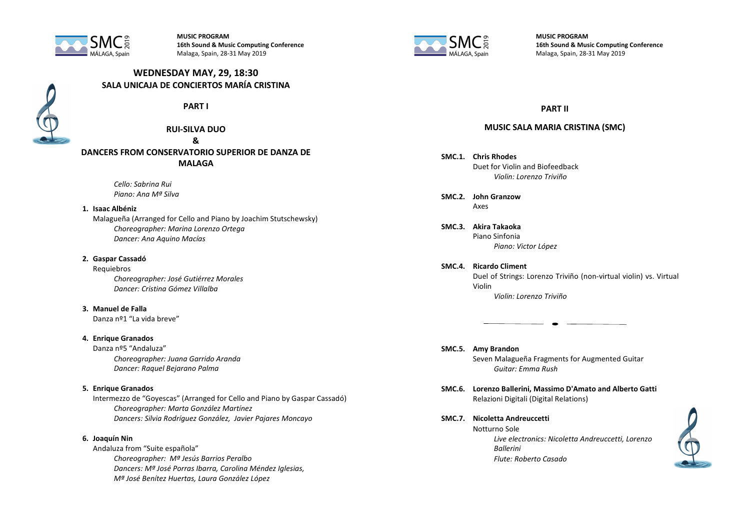

**MUSIC PROGRAM 16th Sound & Music Computing Conference** Malaga, Spain, 28-31 May 2019

# **WEDNESDAY MAY, 29, 18:30 SALA UNICAJA DE CONCIERTOS MARÍA CRISTINA**



**PART I**

**RUI-SILVA DUO**

**&** 

**DANCERS FROM CONSERVATORIO SUPERIOR DE DANZA DE MALAGA**

> *Cello: Sabrina Rui Piano: Ana Mª Silva*

#### **1. Isaac Albéniz**

Malagueña (Arranged for Cello and Piano by Joachim Stutschewsky) *Choreographer: Marina Lorenzo Ortega Dancer: Ana Aquino Macías*

#### **2. Gaspar Cassadó**

Requiebros *Choreographer: José Gutiérrez Morales Dancer: Cristina Gómez Villalba*

## **3. Manuel de Falla**

Danza nº1 "La vida breve"

#### **4. Enrique Granados**

Danza nº5 "Andaluza" *Choreographer: Juana Garrido Aranda Dancer: Raquel Bejarano Palma*

## **5. Enrique Granados**

Intermezzo de "Goyescas" (Arranged for Cello and Piano by Gaspar Cassadó) *Choreographer: Marta González Martínez Dancers: Silvia Rodríguez González, Javier Pajares Moncayo*

## **6. Joaquín Nin**

Andaluza from "Suite española" *Choreographer: Mª Jesús Barrios Peralbo Dancers: Mª José Porras Ibarra, Carolina Méndez Iglesias, Mª José Benítez Huertas, Laura González López*



**MUSIC PROGRAM 16th Sound & Music Computing Conference** Malaga, Spain, 28-31 May 2019

## **PART II**

## **MUSIC SALA MARIA CRISTINA (SMC)**

- **SMC.1. Chris Rhodes** Duet for Violin and Biofeedback *Violin: Lorenzo Triviño*
- **SMC.2. John Granzow** Axes
- **SMC.3. Akira Takaoka** Piano Sinfonia *Piano: Victor López*
- **SMC.4. Ricardo Climent** Duel of Strings: Lorenzo Triviño (non-virtual violin) vs. Virtual Violin *Violin: Lorenzo Triviño*
- **SMC.5. Amy Brandon** Seven Malagueña Fragments for Augmented Guitar *Guitar: Emma Rush*
- **SMC.6. Lorenzo Ballerini, Massimo D'Amato and Alberto Gatti** Relazioni Digitali (Digital Relations)
- **SMC.7. Nicoletta Andreuccetti** Notturno Sole *Live electronics: Nicoletta Andreuccetti, Lorenzo Ballerini Flute: Roberto Casado*